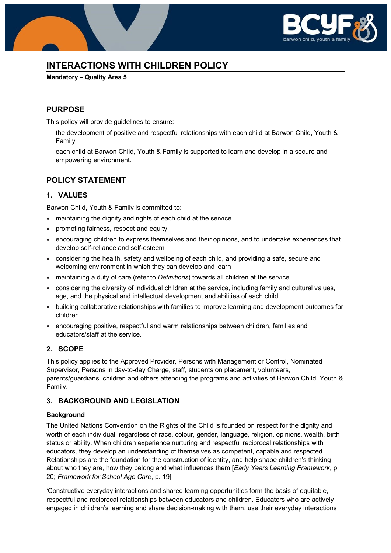

# **INTERACTIONS WITH CHILDREN POLICY**

**Mandatory – Quality Area 5**

### **PURPOSE**

This policy will provide guidelines to ensure:

the development of positive and respectful relationships with each child at Barwon Child, Youth & Family

each child at Barwon Child, Youth & Family is supported to learn and develop in a secure and empowering environment.

### **POLICY STATEMENT**

### **1. VALUES**

Barwon Child, Youth & Family is committed to:

- maintaining the dignity and rights of each child at the service
- promoting fairness, respect and equity
- encouraging children to express themselves and their opinions, and to undertake experiences that develop self-reliance and self-esteem
- considering the health, safety and wellbeing of each child, and providing a safe, secure and welcoming environment in which they can develop and learn
- maintaining a duty of care (refer to *Definitions*) towards all children at the service
- considering the diversity of individual children at the service, including family and cultural values, age, and the physical and intellectual development and abilities of each child
- building collaborative relationships with families to improve learning and development outcomes for children
- encouraging positive, respectful and warm relationships between children, families and educators/staff at the service.

#### **2. SCOPE**

This policy applies to the Approved Provider, Persons with Management or Control, Nominated Supervisor, Persons in day-to-day Charge, staff, students on placement, volunteers, parents/guardians, children and others attending the programs and activities of Barwon Child, Youth & Family.

### **3. BACKGROUND AND LEGISLATION**

#### **Background**

The United Nations Convention on the Rights of the Child is founded on respect for the dignity and worth of each individual, regardless of race, colour, gender, language, religion, opinions, wealth, birth status or ability. When children experience nurturing and respectful reciprocal relationships with educators, they develop an understanding of themselves as competent, capable and respected. Relationships are the foundation for the construction of identity, and help shape children's thinking about who they are, how they belong and what influences them [*Early Years Learning Framework*, p. 20; *Framework for School Age Care*, p. 19]

'Constructive everyday interactions and shared learning opportunities form the basis of equitable, respectful and reciprocal relationships between educators and children. Educators who are actively engaged in children's learning and share decision-making with them, use their everyday interactions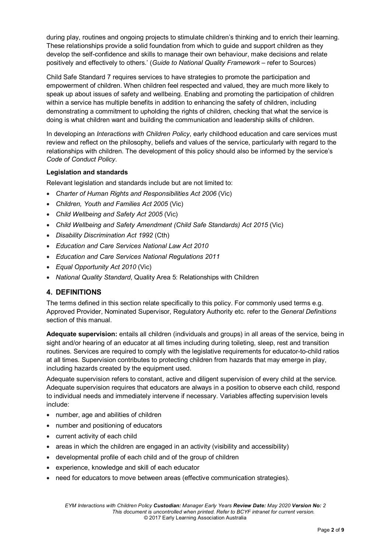during play, routines and ongoing projects to stimulate children's thinking and to enrich their learning. These relationships provide a solid foundation from which to guide and support children as they develop the self-confidence and skills to manage their own behaviour, make decisions and relate positively and effectively to others.' (*Guide to National Quality Framework* – refer to Sources)

Child Safe Standard 7 requires services to have strategies to promote the participation and empowerment of children. When children feel respected and valued, they are much more likely to speak up about issues of safety and wellbeing. Enabling and promoting the participation of children within a service has multiple benefits in addition to enhancing the safety of children, including demonstrating a commitment to upholding the rights of children, checking that what the service is doing is what children want and building the communication and leadership skills of children.

In developing an *Interactions with Children Policy*, early childhood education and care services must review and reflect on the philosophy, beliefs and values of the service, particularly with regard to the relationships with children. The development of this policy should also be informed by the service's *Code of Conduct Policy*.

#### **Legislation and standards**

Relevant legislation and standards include but are not limited to:

- *Charter of Human Rights and Responsibilities Act 2006* (Vic)
- *Children, Youth and Families Act 2005* (Vic)
- *Child Wellbeing and Safety Act 2005* (Vic)
- *Child Wellbeing and Safety Amendment (Child Safe Standards) Act 2015* (Vic)
- *Disability Discrimination Act 1992* (Cth)
- *Education and Care Services National Law Act 2010*
- *Education and Care Services National Regulations 2011*
- *Equal Opportunity Act 2010* (Vic)
- *National Quality Standard*, Quality Area 5: Relationships with Children

#### **4. DEFINITIONS**

The terms defined in this section relate specifically to this policy. For commonly used terms e.g. Approved Provider, Nominated Supervisor, Regulatory Authority etc. refer to the *General Definitions* section of this manual.

**Adequate supervision:** entails all children (individuals and groups) in all areas of the service, being in sight and/or hearing of an educator at all times including during toileting, sleep, rest and transition routines. Services are required to comply with the legislative requirements for educator-to-child ratios at all times. Supervision contributes to protecting children from hazards that may emerge in play, including hazards created by the equipment used.

Adequate supervision refers to constant, active and diligent supervision of every child at the service. Adequate supervision requires that educators are always in a position to observe each child, respond to individual needs and immediately intervene if necessary. Variables affecting supervision levels include:

- number, age and abilities of children
- number and positioning of educators
- current activity of each child
- areas in which the children are engaged in an activity (visibility and accessibility)
- developmental profile of each child and of the group of children
- experience, knowledge and skill of each educator
- need for educators to move between areas (effective communication strategies).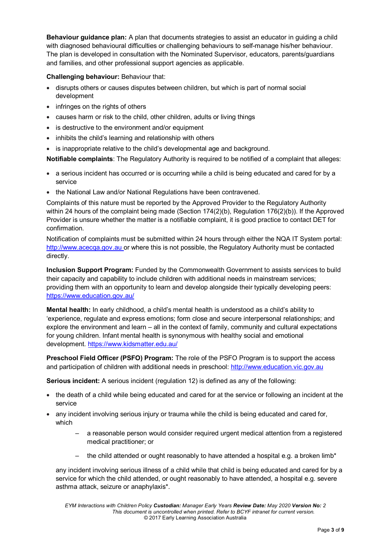**Behaviour guidance plan:** A plan that documents strategies to assist an educator in guiding a child with diagnosed behavioural difficulties or challenging behaviours to self-manage his/her behaviour. The plan is developed in consultation with the Nominated Supervisor, educators, parents/guardians and families, and other professional support agencies as applicable.

#### **Challenging behaviour:** Behaviour that:

- disrupts others or causes disputes between children, but which is part of normal social development
- infringes on the rights of others
- causes harm or risk to the child, other children, adults or living things
- is destructive to the environment and/or equipment
- inhibits the child's learning and relationship with others
- is inappropriate relative to the child's developmental age and background.

**Notifiable complaints**: The Regulatory Authority is required to be notified of a complaint that alleges:

- a serious incident has occurred or is occurring while a child is being educated and cared for by a service
- the National Law and/or National Regulations have been contravened.

Complaints of this nature must be reported by the Approved Provider to the Regulatory Authority within 24 hours of the complaint being made (Section 174(2)(b), Regulation 176(2)(b)). If the Approved Provider is unsure whether the matter is a notifiable complaint, it is good practice to contact DET for confirmation.

Notification of complaints must be submitted within 24 hours through either the NQA IT System portal: [http://www.acecqa.gov.au](http://www.acecqa.gov.au/) or where this is not possible, the Regulatory Authority must be contacted directly.

**Inclusion Support Program:** Funded by the Commonwealth Government to assists services to build their capacity and capability to include children with additional needs in mainstream services; providing them with an opportunity to learn and develop alongside their typically developing peers: <https://www.education.gov.au/>

**Mental health:** In early childhood, a child's mental health is understood as a child's ability to 'experience, regulate and express emotions; form close and secure interpersonal relationships; and explore the environment and learn – all in the context of family, community and cultural expectations for young children. Infant mental health is synonymous with healthy social and emotional development.<https://www.kidsmatter.edu.au/>

**Preschool Field Officer (PSFO) Program:** The role of the PSFO Program is to support the access and participation of children with additional needs in preschool: [http://www.education.vic.gov.au](http://www.education.vic.gov.au/Pages/default.aspx) 

**Serious incident:** A serious incident (regulation 12) is defined as any of the following:

- the death of a child while being educated and cared for at the service or following an incident at the service
- any incident involving serious injury or trauma while the child is being educated and cared for, which
	- a reasonable person would consider required urgent medical attention from a registered medical practitioner; or
	- the child attended or ought reasonably to have attended a hospital e.g. a broken limb\*

any incident involving serious illness of a child while that child is being educated and cared for by a service for which the child attended, or ought reasonably to have attended, a hospital e.g. severe asthma attack, seizure or anaphylaxis\*.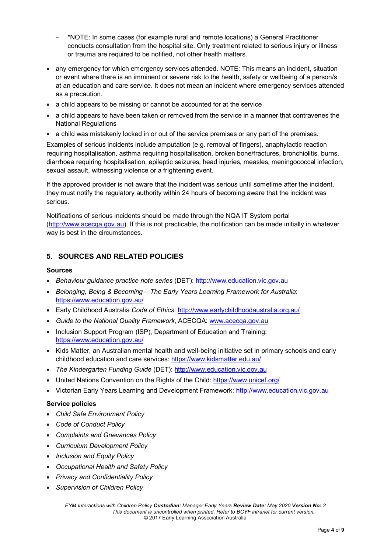- \*NOTE: In some cases (for example rural and remote locations) a General Practitioner conducts consultation from the hospital site. Only treatment related to serious injury or illness or trauma are required to be notified, not other health matters.
- any emergency for which emergency services attended. NOTE: This means an incident, situation or event where there is an imminent or severe risk to the health, safety or wellbeing of a person/s at an education and care service. It does not mean an incident where emergency services attended as a precaution.
- a child appears to be missing or cannot be accounted for at the service
- a child appears to have been taken or removed from the service in a manner that contravenes the National Regulations
- a child was mistakenly locked in or out of the service premises or any part of the premises.

Examples of serious incidents include amputation (e.g. removal of fingers), anaphylactic reaction requiring hospitalisation, asthma requiring hospitalisation, broken bone/fractures, bronchiolitis, burns, diarrhoea requiring hospitalisation, epileptic seizures, head injuries, measles, meningococcal infection, sexual assault, witnessing violence or a frightening event.

If the approved provider is not aware that the incident was serious until sometime after the incident, they must notify the regulatory authority within 24 hours of becoming aware that the incident was serious.

Notifications of serious incidents should be made through the NQA IT System portal [\(http://www.acecqa.gov.au\)](http://www.acecqa.gov.au/). If this is not practicable, the notification can be made initially in whatever way is best in the circumstances.

### **5. SOURCES AND RELATED POLICIES**

#### **Sources**

- *Behaviour guidance practice note series* (DET): [http://www.education.vic.gov.au](http://www.education.vic.gov.au/Pages/default.aspx)
- *Belonging, Being & Becoming – The Early Years Learning Framework for Australia*: <https://www.education.gov.au/>
- Early Childhood Australia *Code of Ethics*:<http://www.earlychildhoodaustralia.org.au/>
- *Guide to the National Quality Framework*, ACECQA: [www.acecqa.gov.au](http://www.acecqa.gov.au/)
- Inclusion Support Program (ISP), Department of Education and Training: <https://www.education.gov.au/>
- Kids Matter, an Australian mental health and well-being initiative set in primary schools and early childhood education and care services:<https://www.kidsmatter.edu.au/>
- *The Kindergarten Funding Guide* (DET): [http://www.education.vic.gov.au](http://www.education.vic.gov.au/Pages/default.aspx)
- United Nations Convention on the Rights of the Child[: https://www.unicef.org/](https://www.unicef.org/)
- Victorian Early Years Learning and Development Framework: [http://www.education.vic.gov.au](http://www.education.vic.gov.au/Pages/default.aspx)

#### **Service policies**

- *Child Safe Environment Policy*
- *Code of Conduct Policy*
- *Complaints and Grievances Policy*
- *Curriculum Development Policy*
- *Inclusion and Equity Policy*
- *Occupational Health and Safety Policy*
- *Privacy and Confidentiality Policy*
- *Supervision of Children Policy*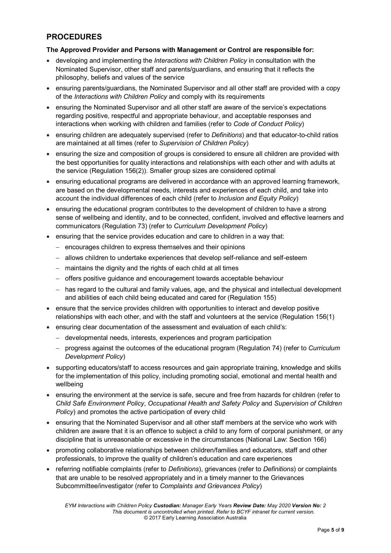## **PROCEDURES**

#### **The Approved Provider and Persons with Management or Control are responsible for:**

- developing and implementing the *Interactions with Children Policy* in consultation with the Nominated Supervisor, other staff and parents/guardians, and ensuring that it reflects the philosophy, beliefs and values of the service
- ensuring parents/guardians, the Nominated Supervisor and all other staff are provided with a copy of the *Interactions with Children Policy* and comply with its requirements
- ensuring the Nominated Supervisor and all other staff are aware of the service's expectations regarding positive, respectful and appropriate behaviour, and acceptable responses and interactions when working with children and families (refer to *Code of Conduct Policy*)
- ensuring children are adequately supervised (refer to *Definitions*) and that educator-to-child ratios are maintained at all times (refer to *Supervision of Children Policy*)
- ensuring the size and composition of groups is considered to ensure all children are provided with the best opportunities for quality interactions and relationships with each other and with adults at the service (Regulation 156(2)). Smaller group sizes are considered optimal
- ensuring educational programs are delivered in accordance with an approved learning framework, are based on the developmental needs, interests and experiences of each child, and take into account the individual differences of each child (refer to *Inclusion and Equity Policy*)
- ensuring the educational program contributes to the development of children to have a strong sense of wellbeing and identity, and to be connected, confident, involved and effective learners and communicators (Regulation 73) (refer to *Curriculum Development Policy*)
- ensuring that the service provides education and care to children in a way that:
	- − encourages children to express themselves and their opinions
	- − allows children to undertake experiences that develop self-reliance and self-esteem
	- − maintains the dignity and the rights of each child at all times
	- − offers positive guidance and encouragement towards acceptable behaviour
	- − has regard to the cultural and family values, age, and the physical and intellectual development and abilities of each child being educated and cared for (Regulation 155)
- ensure that the service provides children with opportunities to interact and develop positive relationships with each other, and with the staff and volunteers at the service (Regulation 156(1)
- ensuring clear documentation of the assessment and evaluation of each child's:
	- − developmental needs, interests, experiences and program participation
	- − progress against the outcomes of the educational program (Regulation 74) (refer to *Curriculum Development Policy*)
- supporting educators/staff to access resources and gain appropriate training, knowledge and skills for the implementation of this policy, including promoting social, emotional and mental health and wellbeing
- ensuring the environment at the service is safe, secure and free from hazards for children (refer to *Child Safe Environment Policy*, *Occupational Health and Safety Policy* and *Supervision of Children Policy*) and promotes the active participation of every child
- ensuring that the Nominated Supervisor and all other staff members at the service who work with children are aware that it is an offence to subject a child to any form of corporal punishment, or any discipline that is unreasonable or excessive in the circumstances (National Law: Section 166)
- promoting collaborative relationships between children/families and educators, staff and other professionals, to improve the quality of children's education and care experiences
- referring notifiable complaints (refer to *Definitions*), grievances (refer to *Definitions*) or complaints that are unable to be resolved appropriately and in a timely manner to the Grievances Subcommittee/investigator (refer to *Complaints and Grievances Policy*)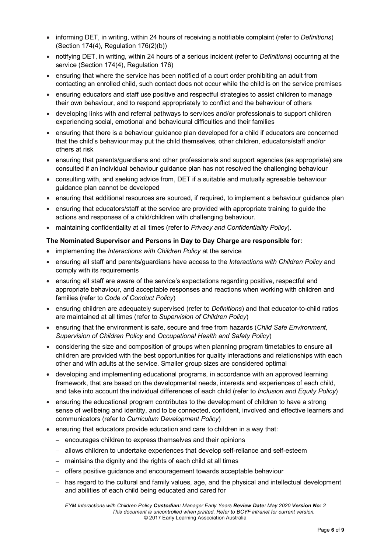- informing DET, in writing, within 24 hours of receiving a notifiable complaint (refer to *Definitions*) (Section 174(4), Regulation 176(2)(b))
- notifying DET, in writing, within 24 hours of a serious incident (refer to *Definitions*) occurring at the service (Section 174(4), Regulation 176)
- ensuring that where the service has been notified of a court order prohibiting an adult from contacting an enrolled child, such contact does not occur while the child is on the service premises
- ensuring educators and staff use positive and respectful strategies to assist children to manage their own behaviour, and to respond appropriately to conflict and the behaviour of others
- developing links with and referral pathways to services and/or professionals to support children experiencing social, emotional and behavioural difficulties and their families
- ensuring that there is a behaviour guidance plan developed for a child if educators are concerned that the child's behaviour may put the child themselves, other children, educators/staff and/or others at risk
- ensuring that parents/guardians and other professionals and support agencies (as appropriate) are consulted if an individual behaviour guidance plan has not resolved the challenging behaviour
- consulting with, and seeking advice from, DET if a suitable and mutually agreeable behaviour guidance plan cannot be developed
- ensuring that additional resources are sourced, if required, to implement a behaviour guidance plan
- ensuring that educators/staff at the service are provided with appropriate training to guide the actions and responses of a child/children with challenging behaviour.
- maintaining confidentiality at all times (refer to *Privacy and Confidentiality Policy*).

#### **The Nominated Supervisor and Persons in Day to Day Charge are responsible for:**

- implementing the *Interactions with Children Policy* at the service
- ensuring all staff and parents/guardians have access to the *Interactions with Children Policy* and comply with its requirements
- ensuring all staff are aware of the service's expectations regarding positive, respectful and appropriate behaviour, and acceptable responses and reactions when working with children and families (refer to *Code of Conduct Policy*)
- ensuring children are adequately supervised (refer to *Definitions*) and that educator-to-child ratios are maintained at all times (refer to *Supervision of Children Policy*)
- ensuring that the environment is safe, secure and free from hazards (*Child Safe Environment, Supervision of Children Policy* and *Occupational Health and Safety Policy*)
- considering the size and composition of groups when planning program timetables to ensure all children are provided with the best opportunities for quality interactions and relationships with each other and with adults at the service. Smaller group sizes are considered optimal
- developing and implementing educational programs, in accordance with an approved learning framework, that are based on the developmental needs, interests and experiences of each child, and take into account the individual differences of each child (refer to *Inclusion and Equity Policy*)
- ensuring the educational program contributes to the development of children to have a strong sense of wellbeing and identity, and to be connected, confident, involved and effective learners and communicators (refer to *Curriculum Development Policy*)
- ensuring that educators provide education and care to children in a way that:
	- − encourages children to express themselves and their opinions
	- − allows children to undertake experiences that develop self-reliance and self-esteem
	- − maintains the dignity and the rights of each child at all times
	- − offers positive guidance and encouragement towards acceptable behaviour
	- − has regard to the cultural and family values, age, and the physical and intellectual development and abilities of each child being educated and cared for

*EYM Interactions with Children Policy Custodian: Manager Early Years Review Date: May 2020 Version No: 2 This document is uncontrolled when printed. Refer to BCYF intranet for current version.* © 2017 Early Learning Association Australia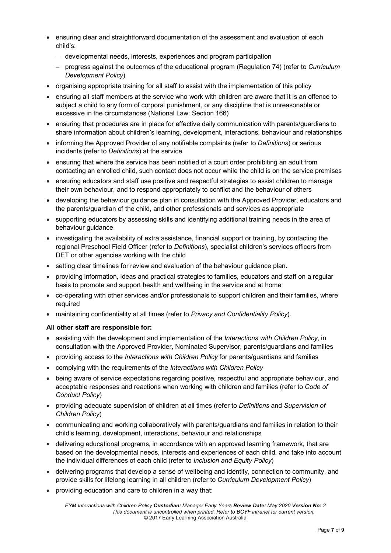- ensuring clear and straightforward documentation of the assessment and evaluation of each child's:
	- − developmental needs, interests, experiences and program participation
	- − progress against the outcomes of the educational program (Regulation 74) (refer to *Curriculum Development Policy*)
- organising appropriate training for all staff to assist with the implementation of this policy
- ensuring all staff members at the service who work with children are aware that it is an offence to subject a child to any form of corporal punishment, or any discipline that is unreasonable or excessive in the circumstances (National Law: Section 166)
- ensuring that procedures are in place for effective daily communication with parents/guardians to share information about children's learning, development, interactions, behaviour and relationships
- informing the Approved Provider of any notifiable complaints (refer to *Definitions*) or serious incidents (refer to *Definitions*) at the service
- ensuring that where the service has been notified of a court order prohibiting an adult from contacting an enrolled child, such contact does not occur while the child is on the service premises
- ensuring educators and staff use positive and respectful strategies to assist children to manage their own behaviour, and to respond appropriately to conflict and the behaviour of others
- developing the behaviour guidance plan in consultation with the Approved Provider, educators and the parents/guardian of the child, and other professionals and services as appropriate
- supporting educators by assessing skills and identifying additional training needs in the area of behaviour guidance
- investigating the availability of extra assistance, financial support or training, by contacting the regional Preschool Field Officer (refer to *Definitions*), specialist children's services officers from DET or other agencies working with the child
- setting clear timelines for review and evaluation of the behaviour guidance plan.
- providing information, ideas and practical strategies to families, educators and staff on a regular basis to promote and support health and wellbeing in the service and at home
- co-operating with other services and/or professionals to support children and their families, where required
- maintaining confidentiality at all times (refer to *Privacy and Confidentiality Policy*).

#### **All other staff are responsible for:**

- assisting with the development and implementation of the *Interactions with Children Policy*, in consultation with the Approved Provider, Nominated Supervisor, parents/guardians and families
- providing access to the *Interactions with Children Policy* for parents/guardians and families
- complying with the requirements of the *Interactions with Children Policy*
- being aware of service expectations regarding positive, respectful and appropriate behaviour, and acceptable responses and reactions when working with children and families (refer to *Code of Conduct Policy*)
- providing adequate supervision of children at all times (refer to *Definitions* and *Supervision of Children Policy*)
- communicating and working collaboratively with parents/guardians and families in relation to their child's learning, development, interactions, behaviour and relationships
- delivering educational programs, in accordance with an approved learning framework, that are based on the developmental needs, interests and experiences of each child, and take into account the individual differences of each child (refer to *Inclusion and Equity Policy*)
- delivering programs that develop a sense of wellbeing and identity, connection to community, and provide skills for lifelong learning in all children (refer to *Curriculum Development Policy*)
- providing education and care to children in a way that: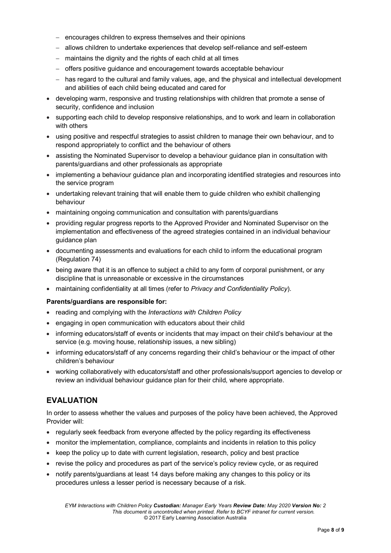- − encourages children to express themselves and their opinions
- − allows children to undertake experiences that develop self-reliance and self-esteem
- − maintains the dignity and the rights of each child at all times
- − offers positive guidance and encouragement towards acceptable behaviour
- − has regard to the cultural and family values, age, and the physical and intellectual development and abilities of each child being educated and cared for
- developing warm, responsive and trusting relationships with children that promote a sense of security, confidence and inclusion
- supporting each child to develop responsive relationships, and to work and learn in collaboration with others
- using positive and respectful strategies to assist children to manage their own behaviour, and to respond appropriately to conflict and the behaviour of others
- assisting the Nominated Supervisor to develop a behaviour guidance plan in consultation with parents/guardians and other professionals as appropriate
- implementing a behaviour guidance plan and incorporating identified strategies and resources into the service program
- undertaking relevant training that will enable them to guide children who exhibit challenging behaviour
- maintaining ongoing communication and consultation with parents/guardians
- providing regular progress reports to the Approved Provider and Nominated Supervisor on the implementation and effectiveness of the agreed strategies contained in an individual behaviour guidance plan
- documenting assessments and evaluations for each child to inform the educational program (Regulation 74)
- being aware that it is an offence to subject a child to any form of corporal punishment, or any discipline that is unreasonable or excessive in the circumstances
- maintaining confidentiality at all times (refer to *Privacy and Confidentiality Policy*).

#### **Parents/guardians are responsible for:**

- reading and complying with the *Interactions with Children Policy*
- engaging in open communication with educators about their child
- informing educators/staff of events or incidents that may impact on their child's behaviour at the service (e.g. moving house, relationship issues, a new sibling)
- informing educators/staff of any concerns regarding their child's behaviour or the impact of other children's behaviour
- working collaboratively with educators/staff and other professionals/support agencies to develop or review an individual behaviour guidance plan for their child, where appropriate.

### **EVALUATION**

In order to assess whether the values and purposes of the policy have been achieved, the Approved Provider will:

- regularly seek feedback from everyone affected by the policy regarding its effectiveness
- monitor the implementation, compliance, complaints and incidents in relation to this policy
- keep the policy up to date with current legislation, research, policy and best practice
- revise the policy and procedures as part of the service's policy review cycle, or as required
- notify parents/guardians at least 14 days before making any changes to this policy or its procedures unless a lesser period is necessary because of a risk.